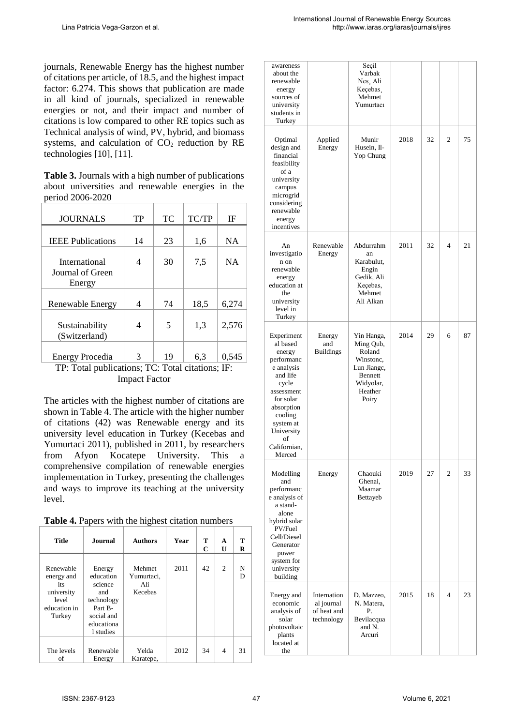journals, Renewable Energy has the highest number of citations per article, of 18.5, and the highest impact factor: 6.274. This shows that publication are made in all kind of journals, specialized in renewable energies or not, and their impact and number of citations is low compared to other RE topics such as Technical analysis of wind, PV, hybrid, and biomass systems, and calculation of CO <sup>2</sup> reduction by RE technologies [10], [11].

**Table 3.** Journals with a high number of publications about universities and renewable energies in the period 2006-2020

| <b>JOURNALS</b>                                                            | TP | <b>TC</b> | TC/TP | ΙF        |
|----------------------------------------------------------------------------|----|-----------|-------|-----------|
|                                                                            |    |           |       |           |
| <b>IEEE</b> Publications                                                   | 14 | 23        | 1,6   | NA        |
| International<br>Journal of Green<br>Energy                                | 4  | 30        | 7,5   | <b>NA</b> |
| Renewable Energy                                                           | 4  | 74        | 18,5  | 6,274     |
| Sustainability<br>(Switzerland)                                            | 4  | 5         | 1,3   | 2.576     |
| <b>Energy Procedia</b><br>TD. Total multicational TC. Total aitational IE. | 3  | 19        | 6,3   | 0,545     |

TP: Total publications; TC: Total citations; IF: Impact Factor

The articles with the highest number of citations are shown in Table 4. The article with the higher number of citations (42) was Renewable energy and its university level education in Turkey (Kecebas and Yumurtaci 2011), published in 2011, by researchers from Afyon Kocatepe University. This a comprehensive compilation of renewable energies implementation in Turkey, presenting the challenges and ways to improve its teaching at the university level.

|  |  |  |  |  |  | Table 4. Papers with the highest citation numbers |
|--|--|--|--|--|--|---------------------------------------------------|
|--|--|--|--|--|--|---------------------------------------------------|

| <b>Title</b>                                                                    | <b>Journal</b>                                                                                          | <b>Authors</b>                         | Year | т<br>C | A<br>U | т<br>R |
|---------------------------------------------------------------------------------|---------------------------------------------------------------------------------------------------------|----------------------------------------|------|--------|--------|--------|
| Renewable<br>energy and<br>its<br>university<br>level<br>education in<br>Turkey | Energy<br>education<br>science<br>and<br>technology<br>Part B-<br>social and<br>educationa<br>1 studies | Mehmet<br>Yumurtaci,<br>Ali<br>Kecebas | 2011 | 42     | 2      | N<br>D |
| The levels<br>of                                                                | Renewable<br>Energy                                                                                     | Yelda<br>Karatepe,                     | 2012 | 34     | 4      | 31     |

| awareness<br>about the<br>renewable<br>energy<br>sources of<br>university<br>students in<br>Turkey                                                                                               |                                                        | Seçil<br>Varbak<br>Nes. Ali<br>Keçebas.<br>Mehmet<br>Yumurtacı                                            |      |    |   |    |
|--------------------------------------------------------------------------------------------------------------------------------------------------------------------------------------------------|--------------------------------------------------------|-----------------------------------------------------------------------------------------------------------|------|----|---|----|
| Optimal<br>design and<br>financial<br>feasibility<br>of a<br>university<br>campus<br>microgrid<br>considering<br>renewable<br>energy<br>incentives                                               | Applied<br>Energy                                      | Munir<br>Husein, Il-<br>Yop Chung                                                                         | 2018 | 32 | 2 | 75 |
| An<br>investigatio<br>n on<br>renewable<br>energy<br>education at<br>the<br>university<br>level in<br>Turkey                                                                                     | Renewable<br>Energy                                    | Abdurrahm<br>an<br>Karabulut,<br>Engin<br>Gedik, Ali<br>Keçebas,<br>Mehmet<br>Ali Alkan                   | 2011 | 32 | 4 | 21 |
| Experiment<br>al based<br>energy<br>performanc<br>e analysis<br>and life<br>cycle<br>assessment<br>for solar<br>absorption<br>cooling<br>system at<br>University<br>of<br>Californian,<br>Merced | Energy<br>and<br><b>Buildings</b>                      | Yin Hanga,<br>Ming Qub,<br>Roland<br>Winstone,<br>Lun Jiange,<br>Bennett<br>Widyolar,<br>Heather<br>Poiry | 2014 | 29 | 6 | 87 |
| Modelling<br>and<br>performanc<br>e analysis of<br>a stand-<br>alone<br>hybrid solar<br>PV/Fuel<br>Cell/Diesel<br>Generator<br>power<br>system for<br>university<br>building                     | Energy                                                 | Chaouki<br>Ghenai,<br>Maamar<br>Bettayeb                                                                  | 2019 | 27 | 2 | 33 |
| Energy and<br>economic<br>analysis of<br>solar<br>photovoltaic<br>plants<br>located at<br>the                                                                                                    | Internation<br>al journal<br>of heat and<br>technology | D. Mazzeo,<br>N. Matera,<br>Р.<br>Bevilacqua<br>and N.<br>Arcuri                                          | 2015 | 18 | 4 | 23 |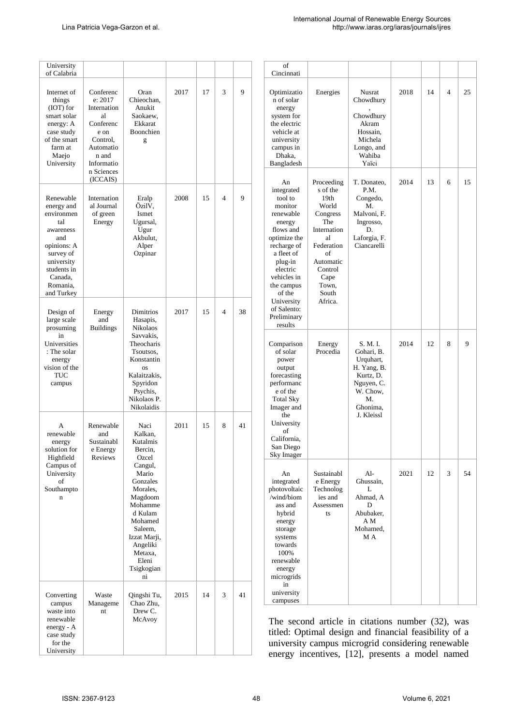| University<br>of Calabria                                                                                                                                      |                                                                                                                                          |                                                                                                                                                                     |                                                |      |                      |    | of<br>Cincinnati                                                                                                                                                                      |                                                                                                                                                       |                                                                                                                                                                                                                   |      |    |                |    |  |
|----------------------------------------------------------------------------------------------------------------------------------------------------------------|------------------------------------------------------------------------------------------------------------------------------------------|---------------------------------------------------------------------------------------------------------------------------------------------------------------------|------------------------------------------------|------|----------------------|----|---------------------------------------------------------------------------------------------------------------------------------------------------------------------------------------|-------------------------------------------------------------------------------------------------------------------------------------------------------|-------------------------------------------------------------------------------------------------------------------------------------------------------------------------------------------------------------------|------|----|----------------|----|--|
| Internet of<br>things<br>(IOT) for<br>smart solar<br>energy: A<br>case study<br>of the smart<br>farm at<br>Maejo<br>University                                 | Conferenc<br>e: 2017<br>Internation<br>al<br>Conferenc<br>e on<br>Control.<br>Automatio<br>n and<br>Informatio<br>n Sciences<br>(ICCAIS) | Oran<br>Chieochan,<br>Anukit<br>Saokaew,<br>Ekkarat<br>Boonchien<br>g                                                                                               | 2017                                           | 17   | 3                    | 9  | Optimizatio<br>n of solar<br>energy<br>system for<br>the electric<br>vehicle at<br>university<br>campus in<br>Dhaka,<br>Bangladesh                                                    | Energies                                                                                                                                              | Nusrat<br>Chowdhury<br>Chowdhury<br>Akram<br>Hossain,<br>Michela<br>Longo, and<br>Wahiba<br>Yaïci                                                                                                                 | 2018 | 14 | $\overline{4}$ | 25 |  |
| Renewable<br>energy and<br>environmen<br>tal<br>awareness<br>and<br>opinions: A<br>survey of<br>university<br>students in<br>Canada,<br>Romania.<br>and Turkey | Internation<br>al Journal<br>of green<br>Energy                                                                                          | Eralp<br>ÖzilV,<br>Ismet<br>Ugursal,<br>Ugur<br>Akbulut,<br>Alper<br>Ozpinar                                                                                        | 2008                                           | 15   | $\overline{4}$       | 9  | An<br>integrated<br>tool to<br>monitor<br>renewable<br>energy<br>flows and<br>optimize the<br>recharge of<br>a fleet of<br>plug-in<br>electric<br>vehicles in<br>the campus<br>of the | Proceeding<br>s of the<br>19th<br>World<br>Congress<br>The<br>Internation<br>al<br>Federation<br>of<br>Automatic<br>Control<br>Cape<br>Town,<br>South | T. Donateo,<br>P.M.<br>Congedo,<br>M.<br>Malvoni, F.<br>Ingrosso,<br>D.<br>Laforgia, F.<br>Ciancarelli                                                                                                            | 2014 | 13 | 6              | 15 |  |
| Design of<br>large scale<br>prosuming<br>in                                                                                                                    | Energy<br>and<br><b>Buildings</b>                                                                                                        |                                                                                                                                                                     | Dimitrios<br>Hasapis,<br>Nikolaos<br>Savvakis, | 2017 | $\overline{4}$<br>15 |    | 38                                                                                                                                                                                    | University<br>of Salento:<br>Preliminary<br>results                                                                                                   | Africa.                                                                                                                                                                                                           |      |    |                |    |  |
| Universities<br>: The solar<br>energy<br>vision of the<br><b>TUC</b><br>campus                                                                                 |                                                                                                                                          | Theocharis<br>Tsoutsos,<br>Konstantin<br><b>OS</b><br>Kalaitzakis,<br>Spyridon<br>Psychis,<br>Nikolaos P.<br>Nikolaidis                                             |                                                |      |                      |    | Comparison<br>of solar<br>power<br>output<br>forecasting<br>performanc<br>e of the<br><b>Total Sky</b><br>Imager and<br>the                                                           | Energy<br>Procedia                                                                                                                                    | S. M. I.<br>Gohari, B.<br>Urquhart,<br>H. Yang, B.<br>Kurtz, D.<br>Nguyen, C.<br>W. Chow,<br>M.<br>Ghonima,<br>J. Kleissl                                                                                         | 2014 | 12 | 8              | 9  |  |
| A<br>renewable<br>energy<br>solution for<br>Highfield                                                                                                          | Renewable<br>and<br>Sustainabl<br>e Energy<br>Reviews                                                                                    | Naci<br>Kalkan,<br>Kutalmis<br>Bercin.<br>Ozcel                                                                                                                     | 2011                                           | 15   | 8                    | 41 | University<br>of<br>California,<br>San Diego<br>Sky Imager                                                                                                                            |                                                                                                                                                       |                                                                                                                                                                                                                   |      |    |                |    |  |
| Campus of<br>University<br>of<br>Southampto<br>$\bf n$                                                                                                         |                                                                                                                                          | Cangul,<br>Mario<br>Gonzales<br>Morales,<br>Magdoom<br>Mohamme<br>d Kulam<br>Mohamed<br>Saleem,<br>Izzat Marji,<br>Angeliki<br>Metaxa,<br>Eleni<br>Tsigkogian<br>ni |                                                |      |                      |    | An<br>integrated<br>photovoltaic<br>/wind/biom<br>ass and<br>hybrid<br>energy<br>storage<br>systems<br>towards<br>100%<br>renewable<br>energy<br>microgrids                           | Sustainabl<br>e Energy<br>Technolog<br>ies and<br>Assessmen<br>ts                                                                                     | Al-<br>Ghussain.<br>L<br>Ahmad, A<br>D<br>Abubaker,<br>ΑM<br>Mohamed,<br>M A                                                                                                                                      | 2021 | 12 | 3              | 54 |  |
| Converting<br>campus<br>waste into                                                                                                                             | Waste<br>Manageme<br>nt                                                                                                                  | Qingshi Tu,<br>Chao Zhu,<br>Drew C.                                                                                                                                 | 2015                                           | 14   | 3                    | 41 | in<br>university<br>campuses                                                                                                                                                          |                                                                                                                                                       |                                                                                                                                                                                                                   |      |    |                |    |  |
| renewable<br>energy - A<br>case study<br>for the<br>University                                                                                                 |                                                                                                                                          | McAvoy                                                                                                                                                              |                                                |      |                      |    |                                                                                                                                                                                       |                                                                                                                                                       | The second article in citations number (32), was<br>titled: Optimal design and financial feasibility of a<br>university campus microgrid considering renewable<br>energy incentives, [12], presents a model named |      |    |                |    |  |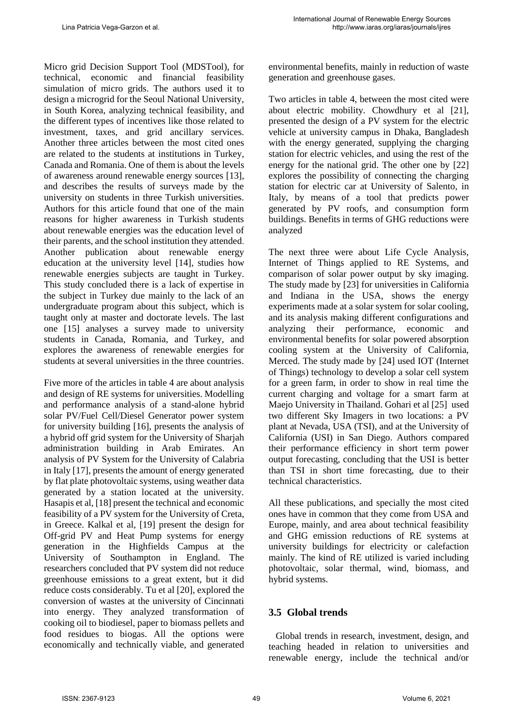Micro grid Decision Support Tool (MDSTool), for technical, economic and financial feasibility simulation of micro grids. The authors used it to design a microgrid for the Seoul National University, in South Korea, analyzing technical feasibility, and the different types of incentives like those related to investment, taxes, and grid ancillary services. Another three articles between the most cited ones are related to the students at institutions in Turkey, Canada and Romania. One of them is about the levels of awareness around renewable energy sources [13], and describes the results of surveys made by the university on students in three Turkish universities. Authors for this article found that one of the main reasons for higher awareness in Turkish students about renewable energies was the education level of their parents, and the school institution they attended. Another publication about renewable energy education at the university level [14], studies how renewable energies subjects are taught in Turkey. This study concluded there is a lack of expertise in the subject in Turkey due mainly to the lack of an undergraduate program about this subject, which is taught only at master and doctorate levels. The last one [15] analyses a survey made to university students in Canada, Romania, and Turkey, and explores the awareness of renewable energies for students at several universities in the three countries.

Five more of the articles in table 4 are about analysis and design of RE systems for universities. Modelling and performance analysis of a stand-alone hybrid solar PV/Fuel Cell/Diesel Generator power system for university building [16], presents the analysis of a hybrid off grid system for the University of Sharjah administration building in Arab Emirates. An analysis of PV System for the University of Calabria in Italy [17], presents the amount of energy generated by flat plate photovoltaic systems, using weather data generated by a station located at the university. Hasapis et al, [18] present the technical and economic feasibility of a PV system for the University of Creta, in Greece. Kalkal et al, [19] present the design for Off-grid PV and Heat Pump systems for energy generation in the Highfields Campus at the University of Southampton in England. The researchers concluded that PV system did not reduce greenhouse emissions to a great extent, but it did reduce costs considerably. Tu et al [20], explored the conversion of wastes at the university of Cincinnati into energy. They analyzed transformation of cooking oil to biodiesel, paper to biomass pellets and food residues to biogas. All the options were economically and technically viable, and generated environmental benefits, mainly in reduction of waste generation and greenhouse gases.

Two articles in table 4, between the most cited were about electric mobility. Chowdhury et al [21], presented the design of a PV system for the electric vehicle at university campus in Dhaka, Bangladesh with the energy generated, supplying the charging station for electric vehicles, and using the rest of the energy for the national grid. The other one by [22] explores the possibility of connecting the charging station for electric car at University of Salento, in Italy, by means of a tool that predicts power generated by PV roofs, and consumption form buildings. Benefits in terms of GHG reductions were analyzed

The next three were about Life Cycle Analysis, Internet of Things applied to RE Systems, and comparison of solar power output by sky imaging. The study made by [23] for universities in California and Indiana in the USA, shows the energy experiments made at a solar system for solar cooling, and its analysis making different configurations and analyzing their performance, economic and environmental benefits for solar powered absorption cooling system at the University of California, Merced. The study made by [24] used IOT (Internet of Things) technology to develop a solar cell system for a green farm, in order to show in real time the current charging and voltage for a smart farm at Maejo University in Thailand. Gohari et al [25] used two different Sky Imagers in two locations: a PV plant at Nevada, USA (TSI), and at the University of California (USI) in San Diego. Authors compared their performance efficiency in short term power output forecasting, concluding that the USI is better than TSI in short time forecasting, due to their technical characteristics.

All these publications, and specially the most cited ones have in common that they come from USA and Europe, mainly, and area about technical feasibility and GHG emission reductions of RE systems at university buildings for electricity or calefaction mainly. The kind of RE utilized is varied including photovoltaic, solar thermal, wind, biomass, and hybrid systems.

## **3.5 Global trends**

 Global trends in research, investment, design, and teaching headed in relation to universities and renewable energy, include the technical and/or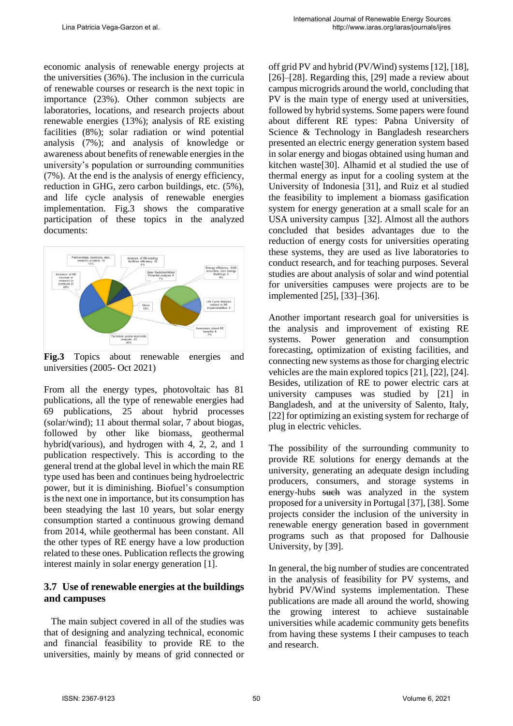economic analysis of renewable energy projects at the universities (36%). The inclusion in the curricula of renewable courses or research is the next topic in importance (23%). Other common subjects are laboratories, locations, and research projects about renewable energies (13%); analysis of RE existing facilities (8%); solar radiation or wind potential analysis (7%); and analysis of knowledge or awareness about benefits of renewable energies in the university's population or surrounding communities (7%). At the end is the analysis of energy efficiency, reduction in GHG, zero carbon buildings, etc. (5%), and life cycle analysis of renewable energies implementation. Fig.3 shows the comparative participation of these topics in the analyzed documents:



**Fig.3** Topics about renewable energies and universities (2005- Oct 2021)

From all the energy types, photovoltaic has 81 publications, all the type of renewable energies had 69 publications, 25 about hybrid processes (solar/wind); 11 about thermal solar, 7 about biogas, followed by other like biomass, geothermal hybrid(various), and hydrogen with 4, 2, 2, and 1 publication respectively. This is according to the general trend at the global level in which the main RE type used has been and continues being hydroelectric power, but it is diminishing. Biofuel's consumption is the next one in importance, but its consumption has been steadying the last 10 years, but solar energy consumption started a continuous growing demand from 2014, while geothermal has been constant. All the other types of RE energy have a low production related to these ones. Publication reflects the growing interest mainly in solar energy generation [1].

### **3.7 Use of renewable energies at the buildings and campuses**

 The main subject covered in all of the studies was that of designing and analyzing technical, economic and financial feasibility to provide RE to the universities, mainly by means of grid connected or off grid PV and hybrid (PV/Wind) systems [12], [18], [26]–[28]. Regarding this, [29] made a review about campus microgrids around the world, concluding that PV is the main type of energy used at universities, followed by hybrid systems. Some papers were found about different RE types: Pabna University of Science & Technology in Bangladesh researchers presented an electric energy generation system based in solar energy and biogas obtained using human and kitchen waste[30]. Alhamid et al studied the use of thermal energy as input for a cooling system at the University of Indonesia [31], and Ruiz et al studied the feasibility to implement a biomass gasification system for energy generation at a small scale for an USA university campus [32]. Almost all the authors concluded that besides advantages due to the reduction of energy costs for universities operating these systems, they are used as live laboratories to conduct research, and for teaching purposes. Several studies are about analysis of solar and wind potential for universities campuses were projects are to be implemented [25], [33]–[36].

Another important research goal for universities is the analysis and improvement of existing RE systems. Power generation and consumption forecasting, optimization of existing facilities, and connecting new systems as those for charging electric vehicles are the main explored topics [21], [22], [24]. Besides, utilization of RE to power electric cars at university campuses was studied by [21] in Bangladesh, and at the university of Salento, Italy, [22] for optimizing an existing system for recharge of plug in electric vehicles.

The possibility of the surrounding community to provide RE solutions for energy demands at the university, generating an adequate design including producers, consumers, and storage systems in energy-hubs such was analyzed in the system proposed for a university in Portugal [37], [38]. Some projects consider the inclusion of the university in renewable energy generation based in government programs such as that proposed for Dalhousie University, by [39].

In general, the big number of studies are concentrated in the analysis of feasibility for PV systems, and hybrid PV/Wind systems implementation. These publications are made all around the world, showing the growing interest to achieve sustainable universities while academic community gets benefits from having these systems I their campuses to teach and research.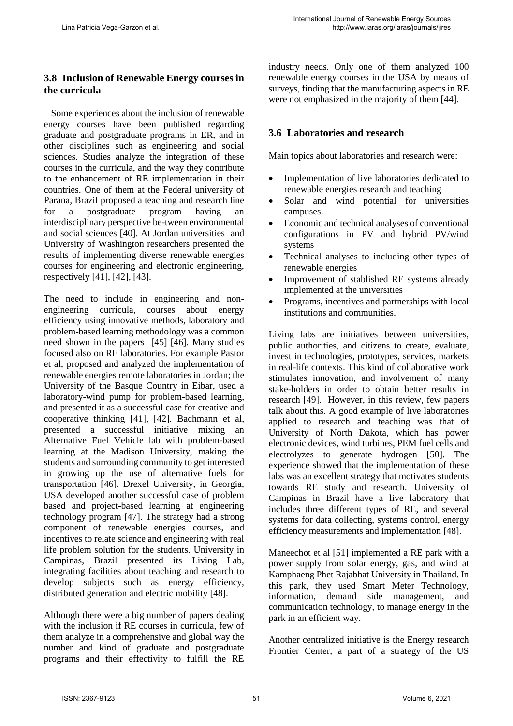### **3.8 Inclusion of Renewable Energy courses in the curricula**

 Some experiences about the inclusion of renewable energy courses have been published regarding graduate and postgraduate programs in ER, and in other disciplines such as engineering and social sciences. Studies analyze the integration of these courses in the curricula, and the way they contribute to the enhancement of RE implementation in their countries. One of them at the Federal university of Parana, Brazil proposed a teaching and research line for a postgraduate program having an interdisciplinary perspective be-tween environmental and social sciences [40]. At Jordan universities and University of Washington researchers presented the results of implementing diverse renewable energies courses for engineering and electronic engineering, respectively [41], [42], [43].

The need to include in engineering and nonengineering curricula, courses about energy efficiency using innovative methods, laboratory and problem-based learning methodology was a common need shown in the papers [45] [46]. Many studies focused also on RE laboratories. For example Pastor et al, proposed and analyzed the implementation of renewable energies remote laboratories in Jordan; the University of the Basque Country in Eibar, used a laboratory-wind pump for problem-based learning, and presented it as a successful case for creative and cooperative thinking [41], [42]. Bachmann et al, presented a successful initiative mixing an Alternative Fuel Vehicle lab with problem-based learning at the Madison University, making the students and surrounding community to get interested in growing up the use of alternative fuels for transportation [46]. Drexel University, in Georgia, USA developed another successful case of problem based and project-based learning at engineering technology program [47]. The strategy had a strong component of renewable energies courses, and incentives to relate science and engineering with real life problem solution for the students. University in Campinas, Brazil presented its Living Lab, integrating facilities about teaching and research to develop subjects such as energy efficiency, distributed generation and electric mobility [48].

Although there were a big number of papers dealing with the inclusion if RE courses in curricula, few of them analyze in a comprehensive and global way the number and kind of graduate and postgraduate programs and their effectivity to fulfill the RE industry needs. Only one of them analyzed 100 renewable energy courses in the USA by means of surveys, finding that the manufacturing aspects in RE were not emphasized in the majority of them [44].

### **3.6 Laboratories and research**

Main topics about laboratories and research were:

- Implementation of live laboratories dedicated to renewable energies research and teaching
- Solar and wind potential for universities campuses.
- Economic and technical analyses of conventional configurations in PV and hybrid PV/wind systems
- Technical analyses to including other types of renewable energies
- Improvement of stablished RE systems already implemented at the universities
- Programs, incentives and partnerships with local institutions and communities.

Living labs are initiatives between universities, public authorities, and citizens to create, evaluate, invest in technologies, prototypes, services, markets in real-life contexts. This kind of collaborative work stimulates innovation, and involvement of many stake-holders in order to obtain better results in research [49]. However, in this review, few papers talk about this. A good example of live laboratories applied to research and teaching was that of University of North Dakota, which has power electronic devices, wind turbines, PEM fuel cells and electrolyzes to generate hydrogen [50]. The experience showed that the implementation of these labs was an excellent strategy that motivates students towards RE study and research. University of Campinas in Brazil have a live laboratory that includes three different types of RE, and several systems for data collecting, systems control, energy efficiency measurements and implementation [48].

Maneechot et al [51] implemented a RE park with a power supply from solar energy, gas, and wind at Kamphaeng Phet Rajabhat University in Thailand. In this park, they used Smart Meter Technology, information, demand side management, and communication technology, to manage energy in the park in an efficient way.

Another centralized initiative is the Energy research Frontier Center, a part of a strategy of the US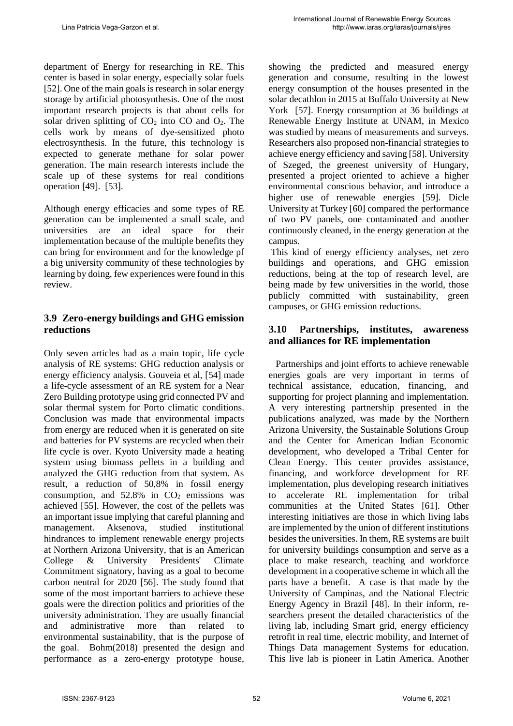department of Energy for researching in RE. This center is based in solar energy, especially solar fuels [52]. One of the main goals is research in solar energy storage by artificial photosynthesis. One of the most important research projects is that about cells for solar driven splitting of  $CO<sub>2</sub>$  into  $CO$  and  $O<sub>2</sub>$ . The cells work by means of dye-sensitized photo electrosynthesis. In the future, this technology is expected to generate methane for solar power generation. The main research interests include the scale up of these systems for real conditions operation [49]. [53].

Although energy efficacies and some types of RE generation can be implemented a small scale, and universities are an ideal space for their implementation because of the multiple benefits they can bring for environment and for the knowledge pf a big university community of these technologies by learning by doing, few experiences were found in this review.

## **3.9 Zero-energy buildings and GHG emission reductions**

Only seven articles had as a main topic, life cycle analysis of RE systems: GHG reduction analysis or energy efficiency analysis. Gouveia et al, [54] made a life-cycle assessment of an RE system for a Near Zero Building prototype using grid connected PV and solar thermal system for Porto climatic conditions. Conclusion was made that environmental impacts from energy are reduced when it is generated on site and batteries for PV systems are recycled when their life cycle is over. Kyoto University made a heating system using biomass pellets in a building and analyzed the GHG reduction from that system. As result, a reduction of 50,8% in fossil energy consumption, and  $52.8\%$  in  $CO<sub>2</sub>$  emissions was achieved [55]. However, the cost of the pellets was an important issue implying that careful planning and management. Aksenova, studied institutional hindrances to implement renewable energy projects at Northern Arizona University, that is an American College & University Presidents' Climate Commitment signatory, having as a goal to become carbon neutral for 2020 [56]. The study found that some of the most important barriers to achieve these goals were the direction politics and priorities of the university administration. They are usually financial and administrative more than related to environmental sustainability, that is the purpose of the goal. Bohm(2018) presented the design and performance as a zero-energy prototype house, showing the predicted and measured energy generation and consume, resulting in the lowest energy consumption of the houses presented in the solar decathlon in 2015 at Buffalo University at New York [57]. Energy consumption at 36 buildings at Renewable Energy Institute at UNAM, in Mexico was studied by means of measurements and surveys. Researchers also proposed non-financial strategies to achieve energy efficiency and saving [58]. University of Szeged, the greenest university of Hungary, presented a project oriented to achieve a higher environmental conscious behavior, and introduce a higher use of renewable energies [59]. Dicle University at Turkey [60] compared the performance of two PV panels, one contaminated and another continuously cleaned, in the energy generation at the campus.

This kind of energy efficiency analyses, net zero buildings and operations, and GHG emission reductions, being at the top of research level, are being made by few universities in the world, those publicly committed with sustainability, green campuses, or GHG emission reductions.

# **3.10 Partnerships, institutes, awareness and alliances for RE implementation**

 Partnerships and joint efforts to achieve renewable energies goals are very important in terms of technical assistance, education, financing, and supporting for project planning and implementation. A very interesting partnership presented in the publications analyzed, was made by the Northern Arizona University, the Sustainable Solutions Group and the Center for American Indian Economic development, who developed a Tribal Center for Clean Energy. This center provides assistance, financing, and workforce development for RE implementation, plus developing research initiatives to accelerate RE implementation for tribal communities at the United States [61]. Other interesting initiatives are those in which living labs are implemented by the union of different institutions besides the universities. In them, RE systems are built for university buildings consumption and serve as a place to make research, teaching and workforce development in a cooperative scheme in which all the parts have a benefit. A case is that made by the University of Campinas, and the National Electric Energy Agency in Brazil [48]. In their inform, researchers present the detailed characteristics of the living lab, including Smart grid, energy efficiency retrofit in real time, electric mobility, and Internet of Things Data management Systems for education. This live lab is pioneer in Latin America. Another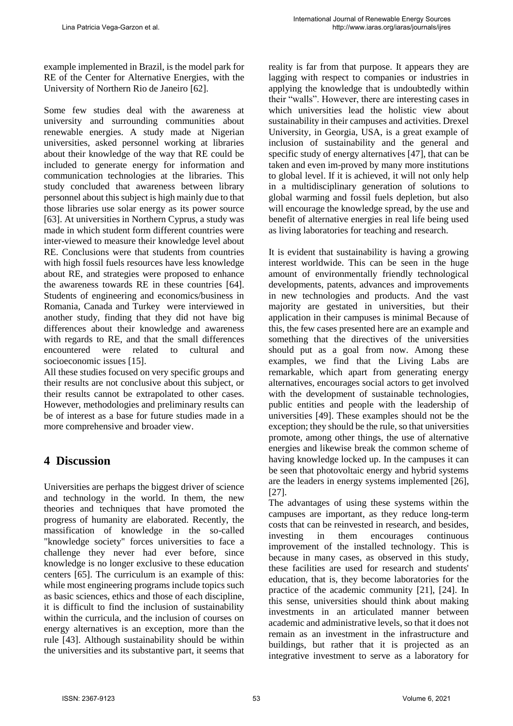example implemented in Brazil, is the model park for RE of the Center for Alternative Energies, with the University of Northern Rio de Janeiro [62].

Some few studies deal with the awareness at university and surrounding communities about renewable energies. A study made at Nigerian universities, asked personnel working at libraries about their knowledge of the way that RE could be included to generate energy for information and communication technologies at the libraries. This study concluded that awareness between library personnel about this subject is high mainly due to that those libraries use solar energy as its power source [63]. At universities in Northern Cyprus, a study was made in which student form different countries were inter-viewed to measure their knowledge level about RE. Conclusions were that students from countries with high fossil fuels resources have less knowledge about RE, and strategies were proposed to enhance the awareness towards RE in these countries [64]. Students of engineering and economics/business in Romania, Canada and Turkey were interviewed in another study, finding that they did not have big differences about their knowledge and awareness with regards to RE, and that the small differences encountered were related to cultural and socioeconomic issues [15].

All these studies focused on very specific groups and their results are not conclusive about this subject, or their results cannot be extrapolated to other cases. However, methodologies and preliminary results can be of interest as a base for future studies made in a more comprehensive and broader view.

# **4 Discussion**

Universities are perhaps the biggest driver of science and technology in the world. In them, the new theories and techniques that have promoted the progress of humanity are elaborated. Recently, the massification of knowledge in the so-called "knowledge society" forces universities to face a challenge they never had ever before, since knowledge is no longer exclusive to these education centers [65]. The curriculum is an example of this: while most engineering programs include topics such as basic sciences, ethics and those of each discipline, it is difficult to find the inclusion of sustainability within the curricula, and the inclusion of courses on energy alternatives is an exception, more than the rule [43]. Although sustainability should be within the universities and its substantive part, it seems that reality is far from that purpose. It appears they are lagging with respect to companies or industries in applying the knowledge that is undoubtedly within their "walls". However, there are interesting cases in which universities lead the holistic view about sustainability in their campuses and activities. Drexel University, in Georgia, USA, is a great example of inclusion of sustainability and the general and specific study of energy alternatives [47], that can be taken and even im-proved by many more institutions to global level. If it is achieved, it will not only help in a multidisciplinary generation of solutions to global warming and fossil fuels depletion, but also will encourage the knowledge spread, by the use and benefit of alternative energies in real life being used as living laboratories for teaching and research.

It is evident that sustainability is having a growing interest worldwide. This can be seen in the huge amount of environmentally friendly technological developments, patents, advances and improvements in new technologies and products. And the vast majority are gestated in universities, but their application in their campuses is minimal Because of this, the few cases presented here are an example and something that the directives of the universities should put as a goal from now. Among these examples, we find that the Living Labs are remarkable, which apart from generating energy alternatives, encourages social actors to get involved with the development of sustainable technologies, public entities and people with the leadership of universities [49]. These examples should not be the exception; they should be the rule, so that universities promote, among other things, the use of alternative energies and likewise break the common scheme of having knowledge locked up. In the campuses it can be seen that photovoltaic energy and hybrid systems are the leaders in energy systems implemented [26], [27].

The advantages of using these systems within the campuses are important, as they reduce long-term costs that can be reinvested in research, and besides, investing in them encourages continuous improvement of the installed technology. This is because in many cases, as observed in this study, these facilities are used for research and students' education, that is, they become laboratories for the practice of the academic community [21], [24]. In this sense, universities should think about making investments in an articulated manner between academic and administrative levels, so that it does not remain as an investment in the infrastructure and buildings, but rather that it is projected as an integrative investment to serve as a laboratory for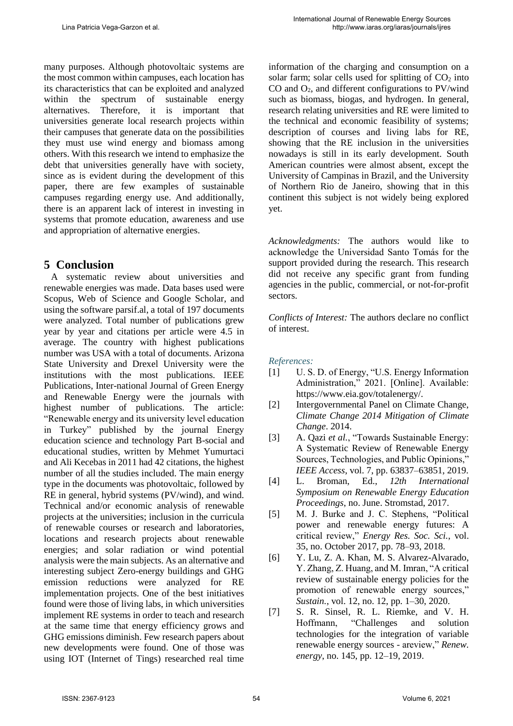many purposes. Although photovoltaic systems are the most common within campuses, each location has its characteristics that can be exploited and analyzed within the spectrum of sustainable energy alternatives. Therefore, it is important that universities generate local research projects within their campuses that generate data on the possibilities they must use wind energy and biomass among others. With this research we intend to emphasize the debt that universities generally have with society, since as is evident during the development of this paper, there are few examples of sustainable campuses regarding energy use. And additionally, there is an apparent lack of interest in investing in systems that promote education, awareness and use and appropriation of alternative energies.

# **5 Conclusion**

 A systematic review about universities and renewable energies was made. Data bases used were Scopus, Web of Science and Google Scholar, and using the software parsif.al, a total of 197 documents were analyzed. Total number of publications grew year by year and citations per article were 4.5 in average. The country with highest publications number was USA with a total of documents. Arizona State University and Drexel University were the institutions with the most publications. IEEE Publications, Inter-national Journal of Green Energy and Renewable Energy were the journals with highest number of publications. The article: "Renewable energy and its university level education in Turkey" published by the journal Energy education science and technology Part B-social and educational studies, written by Mehmet Yumurtaci and Ali Kecebas in 2011 had 42 citations, the highest number of all the studies included. The main energy type in the documents was photovoltaic, followed by RE in general, hybrid systems (PV/wind), and wind. Technical and/or economic analysis of renewable projects at the universities; inclusion in the curricula of renewable courses or research and laboratories, locations and research projects about renewable energies; and solar radiation or wind potential analysis were the main subjects. As an alternative and interesting subject Zero-energy buildings and GHG emission reductions were analyzed for RE implementation projects. One of the best initiatives found were those of living labs, in which universities implement RE systems in order to teach and research at the same time that energy efficiency grows and GHG emissions diminish. Few research papers about new developments were found. One of those was using IOT (Internet of Tings) researched real time information of the charging and consumption on a solar farm; solar cells used for splitting of  $CO<sub>2</sub>$  into CO and  $O_2$ , and different configurations to PV/wind such as biomass, biogas, and hydrogen. In general, research relating universities and RE were limited to the technical and economic feasibility of systems; description of courses and living labs for RE, showing that the RE inclusion in the universities nowadays is still in its early development. South American countries were almost absent, except the University of Campinas in Brazil, and the University of Northern Rio de Janeiro, showing that in this continent this subject is not widely being explored yet.

*Acknowledgments:* The authors would like to acknowledge the Universidad Santo Tomás for the support provided during the research. This research did not receive any specific grant from funding agencies in the public, commercial, or not-for-profit sectors.

*Conflicts of Interest:* The authors declare no conflict of interest.

*References:* 

- [1] U.S.D. of Energy, "U.S. Energy Information Administration," 2021. [Online]. Available: https://www.eia.gov/totalenergy/.
- [2] Intergovernmental Panel on Climate Change, *Climate Change 2014 Mitigation of Climate Change*. 2014.
- [3] A. Qazi *et al.*, "Towards Sustainable Energy: A Systematic Review of Renewable Energy Sources, Technologies, and Public Opinions," *IEEE Access*, vol. 7, pp. 63837–63851, 2019.
- [4] L. Broman, Ed., *12th International Symposium on Renewable Energy Education Proceedings*, no. June. Stromstad, 2017.
- [5] M. J. Burke and J. C. Stephens, "Political power and renewable energy futures: A critical review," *Energy Res. Soc. Sci.*, vol. 35, no. October 2017, pp. 78–93, 2018.
- [6] Y. Lu, Z. A. Khan, M. S. Alvarez-Alvarado, Y. Zhang, Z. Huang, and M. Imran, "A critical review of sustainable energy policies for the promotion of renewable energy sources," *Sustain.*, vol. 12, no. 12, pp. 1–30, 2020.
- [7] S. R. Sinsel, R. L. Riemke, and V. H. Hoffmann, "Challenges and solution technologies for the integration of variable renewable energy sources - areview," *Renew. energy*, no. 145, pp. 12–19, 2019.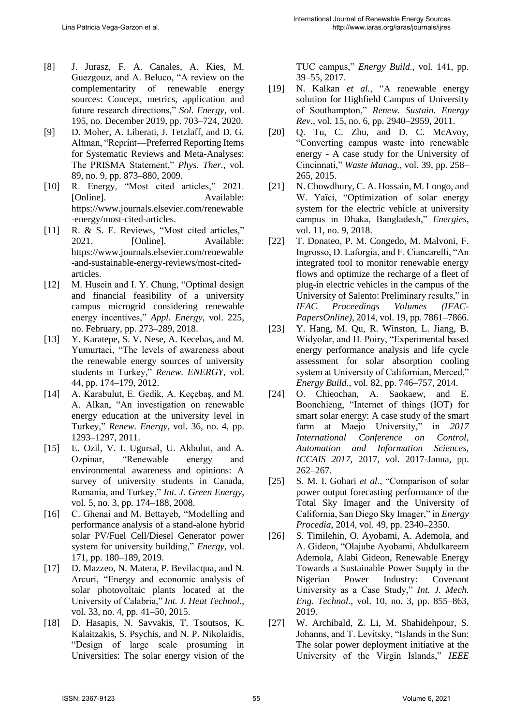- [8] J. Jurasz, F. A. Canales, A. Kies, M. Guezgouz, and A. Beluco, "A review on the complementarity of renewable energy sources: Concept, metrics, application and future research directions," *Sol. Energy*, vol. 195, no. December 2019, pp. 703–724, 2020.
- [9] D. Moher, A. Liberati, J. Tetzlaff, and D. G. Altman, "Reprint—Preferred Reporting Items for Systematic Reviews and Meta-Analyses: The PRISMA Statement," *Phys. Ther.*, vol. 89, no. 9, pp. 873–880, 2009.
- [10] R. Energy, "Most cited articles," 2021. [Online]. Available: https://www.journals.elsevier.com/renewable -energy/most-cited-articles.
- [11] R. & S. E. Reviews, "Most cited articles," 2021. [Online]. Available: https://www.journals.elsevier.com/renewable -and-sustainable-energy-reviews/most-citedarticles.
- [12] M. Husein and I. Y. Chung, "Optimal design and financial feasibility of a university campus microgrid considering renewable energy incentives," *Appl. Energy*, vol. 225, no. February, pp. 273–289, 2018.
- [13] Y. Karatepe, S. V. Nese, A. Kecebas, and M. Yumurtaci, "The levels of awareness about the renewable energy sources of university students in Turkey," *Renew. ENERGY*, vol. 44, pp. 174–179, 2012.
- [14] A. Karabulut, E. Gedik, A. Keçebaş, and M. A. Alkan, "An investigation on renewable energy education at the university level in Turkey," *Renew. Energy*, vol. 36, no. 4, pp. 1293–1297, 2011.
- [15] E. Ozil, V. I. Ugursal, U. Akbulut, and A. Ozpinar, "Renewable energy and environmental awareness and opinions: A survey of university students in Canada, Romania, and Turkey," *Int. J. Green Energy*, vol. 5, no. 3, pp. 174–188, 2008.
- [16] C. Ghenai and M. Bettayeb, "Modelling and performance analysis of a stand-alone hybrid solar PV/Fuel Cell/Diesel Generator power system for university building," *Energy*, vol. 171, pp. 180–189, 2019.
- [17] D. Mazzeo, N. Matera, P. Bevilacqua, and N. Arcuri, "Energy and economic analysis of solar photovoltaic plants located at the University of Calabria," *Int. J. Heat Technol.*, vol. 33, no. 4, pp. 41–50, 2015.
- [18] D. Hasapis, N. Savvakis, T. Tsoutsos, K. Kalaitzakis, S. Psychis, and N. P. Nikolaidis, "Design of large scale prosuming in Universities: The solar energy vision of the

TUC campus," *Energy Build.*, vol. 141, pp. 39–55, 2017.

- [19] N. Kalkan *et al.*, "A renewable energy solution for Highfield Campus of University of Southampton," *Renew. Sustain. Energy Rev.*, vol. 15, no. 6, pp. 2940–2959, 2011.
- [20] Q. Tu, C. Zhu, and D. C. McAvoy, "Converting campus waste into renewable energy - A case study for the University of Cincinnati," *Waste Manag.*, vol. 39, pp. 258– 265, 2015.
- [21] N. Chowdhury, C. A. Hossain, M. Longo, and W. Yaïci, "Optimization of solar energy system for the electric vehicle at university campus in Dhaka, Bangladesh," *Energies*, vol. 11, no. 9, 2018.
- [22] T. Donateo, P. M. Congedo, M. Malvoni, F. Ingrosso, D. Laforgia, and F. Ciancarelli, "An integrated tool to monitor renewable energy flows and optimize the recharge of a fleet of plug-in electric vehicles in the campus of the University of Salento: Preliminary results," in *IFAC Proceedings Volumes (IFAC-PapersOnline)*, 2014, vol. 19, pp. 7861–7866.
- [23] Y. Hang, M. Qu, R. Winston, L. Jiang, B. Widyolar, and H. Poiry, "Experimental based energy performance analysis and life cycle assessment for solar absorption cooling system at University of Californian, Merced," *Energy Build.*, vol. 82, pp. 746–757, 2014.
- [24] O. Chieochan, A. Saokaew, and E. Boonchieng, "Internet of things (IOT) for smart solar energy: A case study of the smart farm at Maejo University," in *2017 International Conference on Control, Automation and Information Sciences, ICCAIS 2017*, 2017, vol. 2017-Janua, pp. 262–267.
- [25] S. M. I. Gohari *et al.*, "Comparison of solar power output forecasting performance of the Total Sky Imager and the University of California, San Diego Sky Imager," in *Energy Procedia*, 2014, vol. 49, pp. 2340–2350.
- [26] S. Timilehin, O. Ayobami, A. Ademola, and A. Gideon, "Olajube Ayobami, Abdulkareem Ademola, Alabi Gideon, Renewable Energy Towards a Sustainable Power Supply in the Nigerian Power Industry: Covenant University as a Case Study," *Int. J. Mech. Eng. Technol.*, vol. 10, no. 3, pp. 855–863, 2019.
- [27] W. Archibald, Z. Li, M. Shahidehpour, S. Johanns, and T. Levitsky, "Islands in the Sun: The solar power deployment initiative at the University of the Virgin Islands," *IEEE*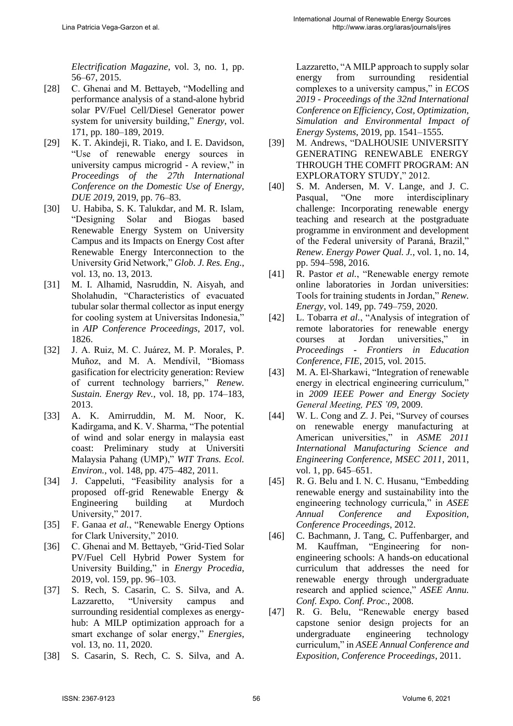*Electrification Magazine*, vol. 3, no. 1, pp. 56–67, 2015.

- [28] C. Ghenai and M. Bettayeb, "Modelling and performance analysis of a stand-alone hybrid solar PV/Fuel Cell/Diesel Generator power system for university building," *Energy*, vol. 171, pp. 180–189, 2019.
- [29] K. T. Akindeji, R. Tiako, and I. E. Davidson, "Use of renewable energy sources in university campus microgrid - A review," in *Proceedings of the 27th International Conference on the Domestic Use of Energy, DUE 2019*, 2019, pp. 76–83.
- [30] U. Habiba, S. K. Talukdar, and M. R. Islam, "Designing Solar and Biogas based Renewable Energy System on University Campus and its Impacts on Energy Cost after Renewable Energy Interconnection to the University Grid Network," *Glob. J. Res. Eng.*, vol. 13, no. 13, 2013.
- [31] M. I. Alhamid, Nasruddin, N. Aisyah, and Sholahudin, "Characteristics of evacuated tubular solar thermal collector as input energy for cooling system at Universitas Indonesia," in *AIP Conference Proceedings*, 2017, vol. 1826.
- [32] J. A. Ruiz, M. C. Juárez, M. P. Morales, P. Muñoz, and M. A. Mendívil, "Biomass gasification for electricity generation: Review of current technology barriers," *Renew. Sustain. Energy Rev.*, vol. 18, pp. 174–183, 2013.
- [33] A. K. Amirruddin, M. M. Noor, K. Kadirgama, and K. V. Sharma, "The potential of wind and solar energy in malaysia east coast: Preliminary study at Universiti Malaysia Pahang (UMP)," *WIT Trans. Ecol. Environ.*, vol. 148, pp. 475–482, 2011.
- [34] J. Cappeluti, "Feasibility analysis for a proposed off-grid Renewable Energy & Engineering building at Murdoch University," 2017.
- [35] F. Ganaa *et al.*, "Renewable Energy Options for Clark University," 2010.
- [36] C. Ghenai and M. Bettayeb, "Grid-Tied Solar PV/Fuel Cell Hybrid Power System for University Building," in *Energy Procedia*, 2019, vol. 159, pp. 96–103.
- [37] S. Rech, S. Casarin, C. S. Silva, and A. Lazzaretto, "University campus and surrounding residential complexes as energyhub: A MILP optimization approach for a smart exchange of solar energy," *Energies*, vol. 13, no. 11, 2020.
- [38] S. Casarin, S. Rech, C. S. Silva, and A.

Lazzaretto, "A MILP approach to supply solar energy from surrounding residential complexes to a university campus," in *ECOS 2019 - Proceedings of the 32nd International Conference on Efficiency, Cost, Optimization, Simulation and Environmental Impact of Energy Systems*, 2019, pp. 1541–1555.

- [39] M. Andrews, "DALHOUSIE UNIVERSITY GENERATING RENEWABLE ENERGY THROUGH THE COMFIT PROGRAM: AN EXPLORATORY STUDY," 2012.
- [40] S. M. Andersen, M. V. Lange, and J. C. Pasqual, "One more interdisciplinary challenge: Incorporating renewable energy teaching and research at the postgraduate programme in environment and development of the Federal university of Paraná, Brazil," *Renew. Energy Power Qual. J.*, vol. 1, no. 14, pp. 594–598, 2016.
- [41] R. Pastor *et al.*, "Renewable energy remote online laboratories in Jordan universities: Tools for training students in Jordan," *Renew. Energy*, vol. 149, pp. 749–759, 2020.
- [42] L. Tobarra *et al.*, "Analysis of integration of remote laboratories for renewable energy courses at Jordan universities," in *Proceedings - Frontiers in Education Conference, FIE*, 2015, vol. 2015.
- [43] M. A. El-Sharkawi, "Integration of renewable energy in electrical engineering curriculum," in *2009 IEEE Power and Energy Society General Meeting, PES '09*, 2009.
- [44] W. L. Cong and Z. J. Pei, "Survey of courses on renewable energy manufacturing at American universities," in *ASME 2011 International Manufacturing Science and Engineering Conference, MSEC 2011*, 2011, vol. 1, pp. 645–651.
- [45] R. G. Belu and I. N. C. Husanu, "Embedding renewable energy and sustainability into the engineering technology curricula," in *ASEE Annual Conference and Exposition, Conference Proceedings*, 2012.
- [46] C. Bachmann, J. Tang, C. Puffenbarger, and M. Kauffman, "Engineering for nonengineering schools: A hands-on educational curriculum that addresses the need for renewable energy through undergraduate research and applied science," *ASEE Annu. Conf. Expo. Conf. Proc.*, 2008.
- [47] R. G. Belu, "Renewable energy based capstone senior design projects for an undergraduate engineering technology curriculum," in *ASEE Annual Conference and Exposition, Conference Proceedings*, 2011.